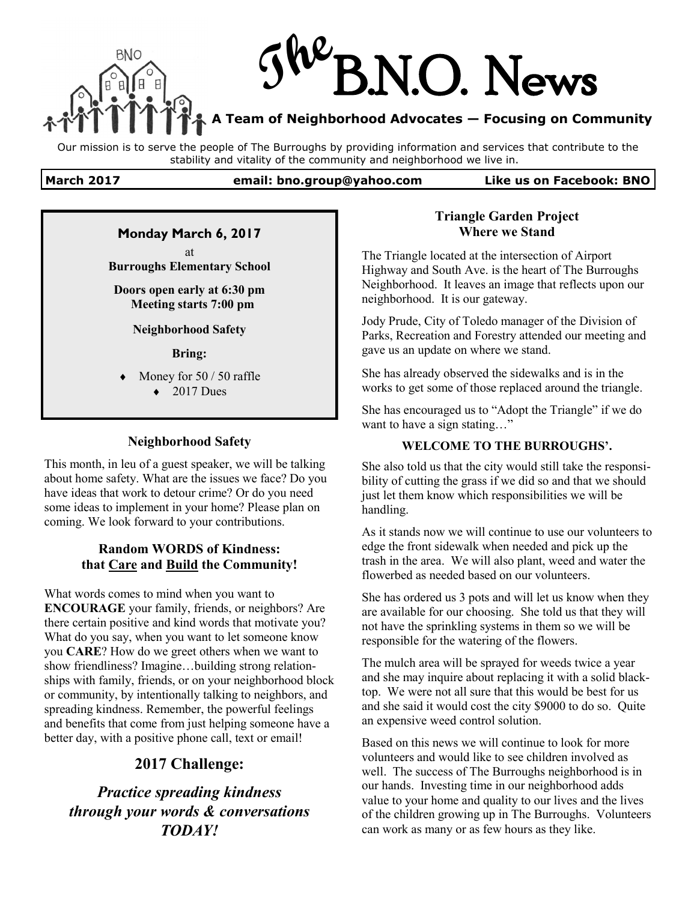

Our mission is to serve the people of The Burroughs by providing information and services that contribute to the stability and vitality of the community and neighborhood we live in.

#### **March 2017 email: bno.group@yahoo.com Like us on Facebook: BNO**

#### **Monday March 6, 2017**

at **Burroughs Elementary School** 

**Doors open early at 6:30 pm Meeting starts 7:00 pm**

**Neighborhood Safety**

**Bring:**

 Money for 50 / 50 raffle  $\triangle$  2017 Dues

#### **Neighborhood Safety**

This month, in leu of a guest speaker, we will be talking about home safety. What are the issues we face? Do you have ideas that work to detour crime? Or do you need some ideas to implement in your home? Please plan on coming. We look forward to your contributions.

#### **Random WORDS of Kindness: that Care and Build the Community!**

What words comes to mind when you want to **ENCOURAGE** your family, friends, or neighbors? Are there certain positive and kind words that motivate you? What do you say, when you want to let someone know you **CARE**? How do we greet others when we want to show friendliness? Imagine…building strong relationships with family, friends, or on your neighborhood block or community, by intentionally talking to neighbors, and spreading kindness. Remember, the powerful feelings and benefits that come from just helping someone have a better day, with a positive phone call, text or email!

## **2017 Challenge:**

# *Practice spreading kindness through your words & conversations TODAY!*

#### **Triangle Garden Project Where we Stand**

The Triangle located at the intersection of Airport Highway and South Ave. is the heart of The Burroughs Neighborhood. It leaves an image that reflects upon our neighborhood. It is our gateway.

Jody Prude, City of Toledo manager of the Division of Parks, Recreation and Forestry attended our meeting and gave us an update on where we stand.

She has already observed the sidewalks and is in the works to get some of those replaced around the triangle.

She has encouraged us to "Adopt the Triangle" if we do want to have a sign stating..."

#### **WELCOME TO THE BURROUGHS'.**

She also told us that the city would still take the responsibility of cutting the grass if we did so and that we should just let them know which responsibilities we will be handling.

As it stands now we will continue to use our volunteers to edge the front sidewalk when needed and pick up the trash in the area. We will also plant, weed and water the flowerbed as needed based on our volunteers.

She has ordered us 3 pots and will let us know when they are available for our choosing. She told us that they will not have the sprinkling systems in them so we will be responsible for the watering of the flowers.

The mulch area will be sprayed for weeds twice a year and she may inquire about replacing it with a solid blacktop. We were not all sure that this would be best for us and she said it would cost the city \$9000 to do so. Quite an expensive weed control solution.

Based on this news we will continue to look for more volunteers and would like to see children involved as well. The success of The Burroughs neighborhood is in our hands. Investing time in our neighborhood adds value to your home and quality to our lives and the lives of the children growing up in The Burroughs. Volunteers can work as many or as few hours as they like.